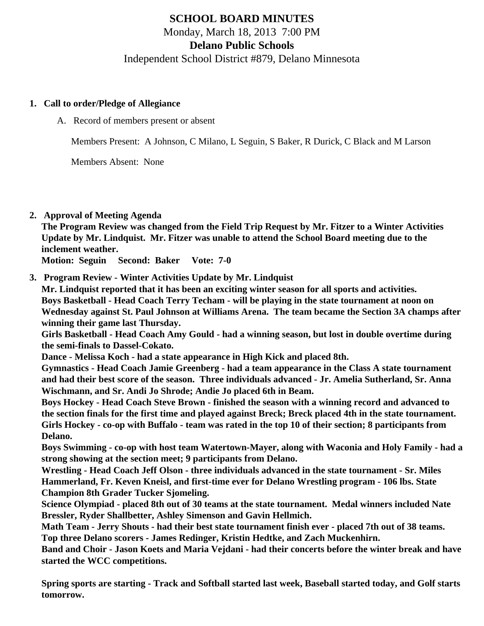# **SCHOOL BOARD MINUTES** Monday, March 18, 2013 7:00 PM

**Delano Public Schools**

Independent School District #879, Delano Minnesota

### **1. Call to order/Pledge of Allegiance**

A. Record of members present or absent

Members Present: A Johnson, C Milano, L Seguin, S Baker, R Durick, C Black and M Larson

Members Absent: None

**2. Approval of Meeting Agenda**

**The Program Review was changed from the Field Trip Request by Mr. Fitzer to a Winter Activities Update by Mr. Lindquist. Mr. Fitzer was unable to attend the School Board meeting due to the inclement weather.**

**Motion: Seguin Second: Baker Vote: 7-0**

**3. Program Review - Winter Activities Update by Mr. Lindquist**

**Mr. Lindquist reported that it has been an exciting winter season for all sports and activities. Boys Basketball - Head Coach Terry Techam - will be playing in the state tournament at noon on Wednesday against St. Paul Johnson at Williams Arena. The team became the Section 3A champs after winning their game last Thursday.**

**Girls Basketball - Head Coach Amy Gould - had a winning season, but lost in double overtime during the semi-finals to Dassel-Cokato.**

**Dance - Melissa Koch - had a state appearance in High Kick and placed 8th.**

**Gymnastics - Head Coach Jamie Greenberg - had a team appearance in the Class A state tournament and had their best score of the season. Three individuals advanced - Jr. Amelia Sutherland, Sr. Anna Wischmann, and Sr. Andi Jo Shrode; Andie Jo placed 6th in Beam.**

**Boys Hockey - Head Coach Steve Brown - finished the season with a winning record and advanced to the section finals for the first time and played against Breck; Breck placed 4th in the state tournament. Girls Hockey - co-op with Buffalo - team was rated in the top 10 of their section; 8 participants from Delano.**

**Boys Swimming - co-op with host team Watertown-Mayer, along with Waconia and Holy Family - had a strong showing at the section meet; 9 participants from Delano.**

**Wrestling - Head Coach Jeff Olson - three individuals advanced in the state tournament - Sr. Miles Hammerland, Fr. Keven Kneisl, and first-time ever for Delano Wrestling program - 106 lbs. State Champion 8th Grader Tucker Sjomeling.**

**Science Olympiad - placed 8th out of 30 teams at the state tournament. Medal winners included Nate Bressler, Ryder Shallbetter, Ashley Simenson and Gavin Hellmich.**

**Math Team - Jerry Shouts - had their best state tournament finish ever - placed 7th out of 38 teams. Top three Delano scorers - James Redinger, Kristin Hedtke, and Zach Muckenhirn.**

**Band and Choir - Jason Koets and Maria Vejdani - had their concerts before the winter break and have started the WCC competitions.**

**Spring sports are starting - Track and Softball started last week, Baseball started today, and Golf starts tomorrow.**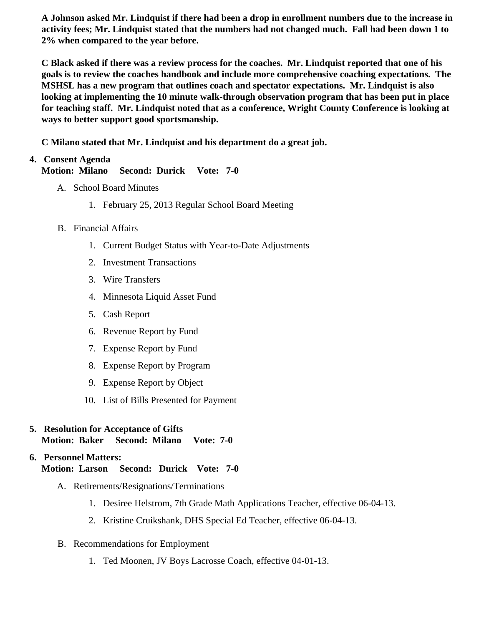A Johnson asked Mr. Lindquist if there had been a drop in enrollment numbers due to the increase in activity fees; Mr. Lindquist stated that the numbers had not changed much. Fall had been down 1 to 2% when compared to the year before.

C Black asked if there was a review process for the coaches. Mr. Lindquist reported that one of his goals is to review the coaches handbook and include more comprehensive coaching expectations. The MSHSL has a new program that outlines coach and spectator expectations. Mr. Lindquist is also looking at implementing the 10 minute walk-through observation program that has been put in place for teaching staff. Mr. Lindquist noted that as a conference, Wright County Conference is looking at ways to better support good sportsmanship.

C Milano stated that Mr. Lindquist and his department do a great job.

# 4. Consent Agenda

Motion: Milano Second: Durick Vote: 7-0

- A. School Board Minutes
	- 1. [February 25, 201](/docs/district/Business_Office/2.25.13_Board_Minutes.pdf)Regular School Board Meeting
- B. Financial Affairs
	- 1. [Current Budge](/docs/district/Business_Office/Budget_Report_March_2013.pdf)Statuswith Year-to-Date Adjustments
	- 2. [Investment Transactio](/docs/district/Business_Office/Investment_schedule_12-13.pdf  )ns
	- 3. [Wire Transfer](/docs/district/Business_Office/Wire_Transfer.pdf )s
	- 4. [Minnesota Liquid Asset Fun](/docs/district/Business_Office/Liq_AFY13.pdf)d
	- 5. [Cash Repo](/httpd/108.61.242.74/www.delano.k12.mn.us/html/ /docs/district/Business_Office/Cash_Report.pdf  )rt
	- 6. [Revenue Report by Fu](/docs/district/Business_Office/SCHOOL_BOARD_REPORTS_-_REVENUE_BY_FUND_TOTAL__(Date__6_2013).pdf)nd
	- 7. [Expense Report by Fu](/docs/district/Business_Office/SCHOOL_BOARD_REPORTS_-_EXP_BY_FUND_TOTAL__(Date__6_2013).pdf)nd
	- 8. [Expense Report by Progra](/docs/district/Business_Office/SCHOOL_BOARD_REPORTS_-_EXPENDITURES_BY_PROGRAM__(Date__6_2013).pdf)m
	- 9. [Expense Report by Obje](/docs/district/Business_Office/SCHOOL_BOARD_REPORTS_-_EXPENDITURES_BY_OBJECT__(Date__6_2013).pdf)ct
	- 10. [List of Bills Presented for Payme](/docs/district/Business_Office/Detail_of_Bills_Paid.pdf)nt
- 5. [Resolution for Acceptance of Gifts](/docs/district/Business_Office/Resolution_for_Acceptance_of_Gifts.pdf) Motion: Baker Second: Milano Vote: 7-0

#### 6. Personnel Matters: Motion: Larson Second: Durick Vote: 7-0

- A. Retirements/Resignations/Terminations
	- 1. Desiree Helstrom, 7th Grade Math Applications Teacher, effective 06-04-13.
	- 2. Kristine Cruikshank, DHS Special Ed Teacher, effective 06-04-13.
- B. Recommendations for Employment
	- 1. Ted Moonen, JV Boys Lacrosse Coach, effective 04-01-13.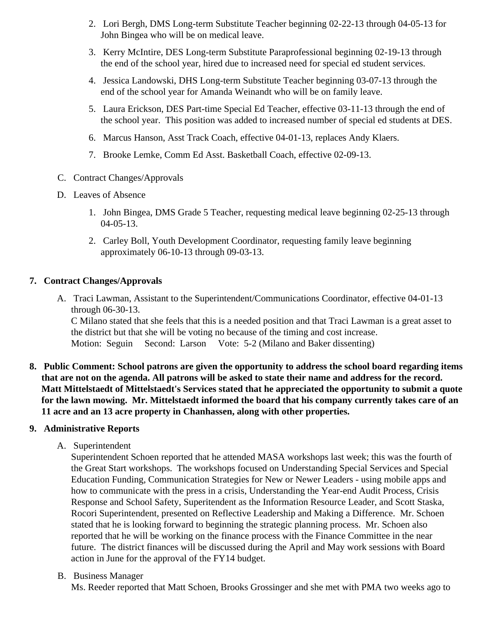- 2. Lori Bergh, DMS Long-term Substitute Teacher beginning 02-22-13 through 04-05-13 for John Bingea who will be on medical leave.
- 3. Kerry McIntire, DES Long-term Substitute Paraprofessional beginning 02-19-13 through the end of the school year, hired due to increased need for special ed student services.
- 4. Jessica Landowski, DHS Long-term Substitute Teacher beginning 03-07-13 through the end of the school year for Amanda Weinandt who will be on family leave.
- 5. Laura Erickson, DES Part-time Special Ed Teacher, effective 03-11-13 through the end of the school year. This position was added to increased number of special ed students at DES.
- 6. Marcus Hanson, Asst Track Coach, effective 04-01-13, replaces Andy Klaers.
- 7. Brooke Lemke, Comm Ed Asst. Basketball Coach, effective 02-09-13.
- C. Contract Changes/Approvals
- D. Leaves of Absence
	- 1. John Bingea, DMS Grade 5 Teacher, requesting medical leave beginning 02-25-13 through 04-05-13.
	- 2. Carley Boll, Youth Development Coordinator, requesting family leave beginning approximately 06-10-13 through 09-03-13.

# **7. Contract Changes/Approvals**

- A. Traci Lawman, Assistant to the Superintendent/Communications Coordinator, effective 04-01-13 through 06-30-13. C Milano stated that she feels that this is a needed position and that Traci Lawman is a great asset to the district but that she will be voting no because of the timing and cost increase. Motion: Seguin Second: Larson Vote: 5-2 (Milano and Baker dissenting)
- **8. Public Comment: School patrons are given the opportunity to address the school board regarding items that are not on the agenda. All patrons will be asked to state their name and address for the record. Matt Mittelstaedt of Mittelstaedt's Services stated that he appreciated the opportunity to submit a quote for the lawn mowing. Mr. Mittelstaedt informed the board that his company currently takes care of an 11 acre and an 13 acre property in Chanhassen, along with other properties.**

### **9. Administrative Reports**

A. Superintendent

Superintendent Schoen reported that he attended MASA workshops last week; this was the fourth of the Great Start workshops. The workshops focused on Understanding Special Services and Special Education Funding, Communication Strategies for New or Newer Leaders - using mobile apps and how to communicate with the press in a crisis, Understanding the Year-end Audit Process, Crisis Response and School Safety, Superitendent as the Information Resource Leader, and Scott Staska, Rocori Superintendent, presented on Reflective Leadership and Making a Difference. Mr. Schoen stated that he is looking forward to beginning the strategic planning process. Mr. Schoen also reported that he will be working on the finance process with the Finance Committee in the near future. The district finances will be discussed during the April and May work sessions with Board action in June for the approval of the FY14 budget.

B. Business Manager

Ms. Reeder reported that Matt Schoen, Brooks Grossinger and she met with PMA two weeks ago to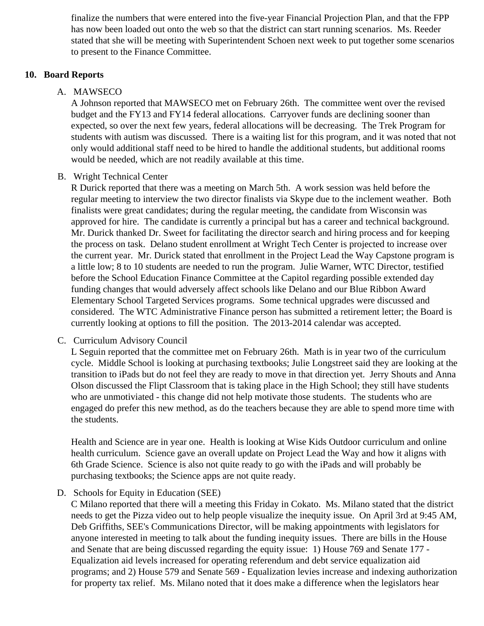finalize the numbers that were entered into the five-year Financial Projection Plan, and that the FPP has now been loaded out onto the web so that the district can start running scenarios. Ms. Reeder stated that she will be meeting with Superintendent Schoen next week to put together some scenarios to present to the Finance Committee.

#### **10. Board Reports**

#### A. MAWSECO

A Johnson reported that MAWSECO met on February 26th. The committee went over the revised budget and the FY13 and FY14 federal allocations. Carryover funds are declining sooner than expected, so over the next few years, federal allocations will be decreasing. The Trek Program for students with autism was discussed. There is a waiting list for this program, and it was noted that not only would additional staff need to be hired to handle the additional students, but additional rooms would be needed, which are not readily available at this time.

#### B. Wright Technical Center

R Durick reported that there was a meeting on March 5th. A work session was held before the regular meeting to interview the two director finalists via Skype due to the inclement weather. Both finalists were great candidates; during the regular meeting, the candidate from Wisconsin was approved for hire. The candidate is currently a principal but has a career and technical background. Mr. Durick thanked Dr. Sweet for facilitating the director search and hiring process and for keeping the process on task. Delano student enrollment at Wright Tech Center is projected to increase over the current year. Mr. Durick stated that enrollment in the Project Lead the Way Capstone program is a little low; 8 to 10 students are needed to run the program. Julie Warner, WTC Director, testified before the School Education Finance Committee at the Capitol regarding possible extended day funding changes that would adversely affect schools like Delano and our Blue Ribbon Award Elementary School Targeted Services programs. Some technical upgrades were discussed and considered. The WTC Administrative Finance person has submitted a retirement letter; the Board is currently looking at options to fill the position. The 2013-2014 calendar was accepted.

# C. Curriculum Advisory Council

L Seguin reported that the committee met on February 26th. Math is in year two of the curriculum cycle. Middle School is looking at purchasing textbooks; Julie Longstreet said they are looking at the transition to iPads but do not feel they are ready to move in that direction yet. Jerry Shouts and Anna Olson discussed the Flipt Classroom that is taking place in the High School; they still have students who are unmotiviated - this change did not help motivate those students. The students who are engaged do prefer this new method, as do the teachers because they are able to spend more time with the students.

Health and Science are in year one. Health is looking at Wise Kids Outdoor curriculum and online health curriculum. Science gave an overall update on Project Lead the Way and how it aligns with 6th Grade Science. Science is also not quite ready to go with the iPads and will probably be purchasing textbooks; the Science apps are not quite ready.

### D. Schools for Equity in Education (SEE)

C Milano reported that there will a meeting this Friday in Cokato. Ms. Milano stated that the district needs to get the Pizza video out to help people visualize the inequity issue. On April 3rd at 9:45 AM, Deb Griffiths, SEE's Communications Director, will be making appointments with legislators for anyone interested in meeting to talk about the funding inequity issues. There are bills in the House and Senate that are being discussed regarding the equity issue: 1) House 769 and Senate 177 - Equalization aid levels increased for operating referendum and debt service equalization aid programs; and 2) House 579 and Senate 569 - Equalization levies increase and indexing authorization for property tax relief. Ms. Milano noted that it does make a difference when the legislators hear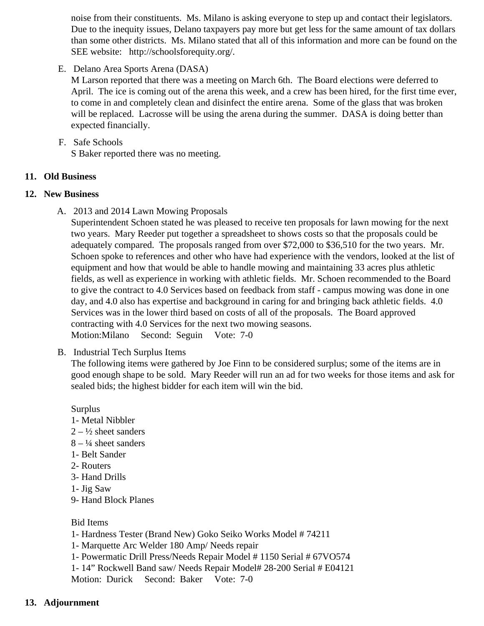noise from their constituents. Ms. Milano is asking everyone to step up and contact their legislators. Due to the inequity issues, Delano taxpayers pay more but get less for the same amount of tax dol than some other districts. Ms. Milano stated that all of this information and more can be found on t SEE website: http://schoolsforequity.org/.

E. Delano Area Sports Arena (DASA)

M Larson reported that there was a meeting on March 6th. The Board elections were deferred to April. The ice is coming out of the arena this week, and a crew has been hired, for the first time ev to come in and completely clean and disinfect the entire arena. Some of the glass that was broken will be replaced. Lacrosse will be using the arena during the summer. DASA is doing better than expected financially.

F. Safe Schools

S Baker reported there was no meeting.

- 11. Old Business
- 12. New Business
	- A. 2013 and 2014 Lawn Mowing Proposals

Superintendent Schoen stated he was pleased to receive ten proposals for lawn mowing for the ne two years. Mary Reeder put together a spreadsheet to shows costs so that the proposals could be adequately compared. The proposals ranged from over \$72,000 to \$36,510 for the two years. Mr. Schoen spoke to references and other who have had experience with the vendors, looked at the list equipment and how that would be able to handle mowing and maintaining 33 acres plus athletic fields, as well as experience in working with athletic fields. Mr. Schoen recommended to the Board to give the contract to 4.0 Services based on feedback from staff - campus mowing was done in or day, and 4.0 also has expertise and background in caring for and bringing back athletic fields. 4.0 Services was in the lower third based on costs of all of the proposals. The Board approved contracting with 4.0 Services for the next two mowing seasons. Motion:Milano Second: Seguin Vote: 7-0

B. [Industrial Tech Surplus Item](/docs/district/Business_Office/Industrial_Tech_Surplus.pdf)s

The following items were gathered by Joe Finn to be considered surplus; some of the items are in good enough shape to be sold. Mary Reeder will run an ad for two weeks for those items and ask sealed bids; the highest bidder for each item will win the bid.

- **Surplus**
- 1- Metal Nibbler
- $2 \frac{1}{2}$  sheet sanders
- $8 4$  sheet sanders
- 1- Belt Sander
- 2- Routers
- 3- Hand Drills
- 1- Jig Saw
- 9- Hand Block Planes

Bid Items

- 1- Hardness Tester (Brand New) Goko Seiko Works Model # 74211
- 1- Marquette Arc Welder 180 Amp/ Needs repair
- 1- Powermatic Drill Press/Needs Repair Model # 1150 Serial # 67VO574

1- 14" Rockwell Band saw/ Needs Repair Model# 28-200 Serial # E04121

Motion: Durick Second: Baker Vote: 7-0